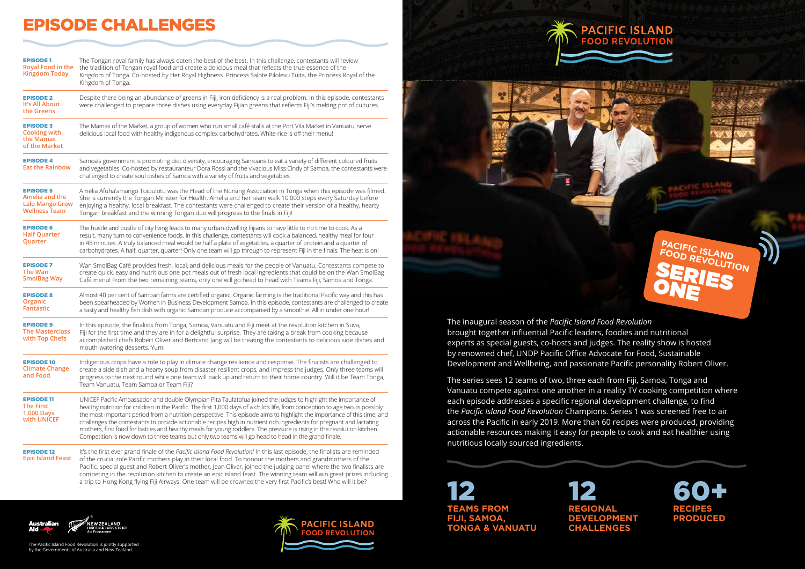



The inaugural season of the *Pacific Island Food Revolution* brought together influential Pacific leaders, foodies and nutritional experts as special guests, co-hosts and judges. The reality show is hosted by renowned chef, UNDP Pacific Office Advocate for Food, Sustainable Development and Wellbeing, and passionate Pacific personality Robert Oliver.

The series sees 12 teams of two, three each from Fiji, Samoa, Tonga and Vanuatu compete against one another in a reality TV cooking competition where each episode addresses a specific regional development challenge, to find the *Pacific Island Food Revolution* Champions. Series 1 was screened free to air across the Pacific in early 2019. More than 60 recipes were produced, providing actionable resources making it easy for people to cook and eat healthier using nutritious locally sourced ingredients.

| <b>EPISODE 1</b><br><b>Royal Food in the</b><br><b>Kingdom Today</b>                 | The Tongan royal family has always eaten the best of the best. In this challenge, contestants will review<br>the tradition of Tongan royal food and create a delicious meal that reflects the true essence of the<br>Kingdom of Tonga. Co-hosted by Her Royal Highness Princess Salote Pilolevu Tuita, the Princess Royal of the<br>Kingdom of Tonga.                                                                                                                                                                                                                                                                                                                                                                                 |
|--------------------------------------------------------------------------------------|---------------------------------------------------------------------------------------------------------------------------------------------------------------------------------------------------------------------------------------------------------------------------------------------------------------------------------------------------------------------------------------------------------------------------------------------------------------------------------------------------------------------------------------------------------------------------------------------------------------------------------------------------------------------------------------------------------------------------------------|
| <b>EPISODE 2</b><br>It's All About<br>the Greens                                     | Despite there being an abundance of greens in Fiji, iron deficiency is a real problem. In this episode, contestants<br>were challenged to prepare three dishes using everyday Fijian greens that reflects Fiji's melting pot of cultures.                                                                                                                                                                                                                                                                                                                                                                                                                                                                                             |
| <b>EPISODE 3</b><br><b>Cooking with</b><br>the Mamas<br>of the Market                | The Mamas of the Market, a group of women who run small café stalls at the Port Vila Market in Vanuatu, serve<br>delicious local food with healthy indigenous complex carbohydrates. White rice is off their menu!                                                                                                                                                                                                                                                                                                                                                                                                                                                                                                                    |
| <b>EPISODE 4</b><br><b>Eat the Rainbow</b>                                           | Samoa's government is promoting diet diversity, encouraging Samoans to eat a variety of different coloured fruits<br>and vegetables. Co-hosted by restauranteur Dora Rossi and the vivacious Miss Cindy of Samoa, the contestants were<br>challenged to create soul dishes of Samoa with a variety of fruits and vegetables.                                                                                                                                                                                                                                                                                                                                                                                                          |
| <b>EPISODE 5</b><br>Amelia and the<br><b>Lalo Mango Grow</b><br><b>Wellness Team</b> | Amelia Afuha'amango Tuipulotu was the Head of the Nursing Association in Tonga when this episode was filmed.<br>She is currently the Tongan Minister for Health. Amelia and her team walk 10,000 steps every Saturday before<br>enjoying a healthy, local breakfast. The contestants were challenged to create their version of a healthy, hearty<br>Tongan breakfast and the winning Tongan duo will progress to the finals in Fiji!                                                                                                                                                                                                                                                                                                 |
| <b>EPISODE 6</b><br><b>Half Quarter</b><br>Quarter                                   | The hustle and bustle of city living leads to many urban-dwelling Fijians to have little to no time to cook. As a<br>result, many turn to convenience foods. In this challenge, contestants will cook a balanced, healthy meal for four<br>in 45 minutes. A truly balanced meal would be half a plate of vegetables, a quarter of protein and a quarter of<br>carbohydrates. A half, quarter, quarter! Only one team will go through to represent Fiji in the finals. The heat is on!                                                                                                                                                                                                                                                 |
| <b>EPISODE 7</b><br><b>The Wan</b><br><b>SmolBag Way</b>                             | Wan SmolBag Café provides fresh, local, and delicious meals for the people of Vanuatu. Contestants compete to<br>create quick, easy and nutritious one pot meals out of fresh local ingredients that could be on the Wan SmolBag<br>Café menu! From the two remaining teams, only one will go head to head with Teams Fiji, Samoa and Tonga.                                                                                                                                                                                                                                                                                                                                                                                          |
| <b>EPISODE 8</b><br>Organic<br><b>Fantastic</b>                                      | Almost 40 per cent of Samoan farms are certified organic. Organic farming is the traditional Pacific way and this has<br>been spearheaded by Women in Business Development Samoa. In this episode, contestants are challenged to create<br>a tasty and healthy fish dish with organic Samoan produce accompanied by a smoothie. All in under one hour!                                                                                                                                                                                                                                                                                                                                                                                |
| <b>EPISODE 9</b><br><b>The Masterclass</b><br>with Top Chefs                         | In this episode, the finalists from Tonga, Samoa, Vanuatu and Fiji meet at the revolution kitchen in Suva,<br>Fiji for the first time and they are in for a delightful surprise. They are taking a break from cooking because<br>accomplished chefs Robert Oliver and Bertrand Jang will be treating the contestants to delicious side dishes and<br>mouth-watering desserts. Yum!                                                                                                                                                                                                                                                                                                                                                    |
| <b>EPISODE 10</b><br><b>Climate Change</b><br>and Food                               | Indigenous crops have a role to play in climate change resilience and response. The finalists are challenged to<br>create a side dish and a hearty soup from disaster resilient crops, and impress the judges. Only three teams will<br>progress to the next round while one team will pack up and return to their home country. Will it be Team Tonga,<br>Team Vanuatu, Team Samoa or Team Fiji?                                                                                                                                                                                                                                                                                                                                     |
| <b>EPISODE 11</b><br><b>The First</b><br><b>1,000 Days</b><br>with UNICEF            | UNICEF Pacific Ambassador and double Olympian Pita Taufatofua joined the judges to highlight the importance of<br>healthy nutrition for children in the Pacific. The first 1,000 days of a child's life, from conception to age two, is possibly<br>the most important period from a nutrition perspective. This episode aims to highlight the importance of this time, and<br>challenges the contestants to provide actionable recipes high in nutrient rich ingredients for pregnant and lactating<br>mothers, first food for babies and healthy meals for young toddlers. The pressure is rising in the revolution kitchen.<br>Competition is now down to three teams but only two teams will go head to head in the grand finale. |
| <b>EPISODE 12</b><br><b>Epic Island Feast</b>                                        | It's the first ever grand finale of the Pacific Island Food Revolution! In this last episode, the finalists are reminded<br>of the crucial role Pacific mothers play in their local food. To honour the mothers and grandmothers of the<br>Pacific, special guest and Robert Oliver's mother, Jean Oliver, joined the judging panel where the two finalists are<br>competing in the revolution kitchen to create an epic island feast. The winning team will win great prizes including<br>a trip to Hong Kong flying Fiji Airways. One team will be crowned the very first Pacific's best! Who will it be?                                                                                                                           |



**TEAMS FROM FIJI, SAMOA, TONGA & VANUATU**





**PACIFIC ISLAND**  FOOD REVOLUTION **SERIES** ONE

74 200

# EPISODE CHALLENGES